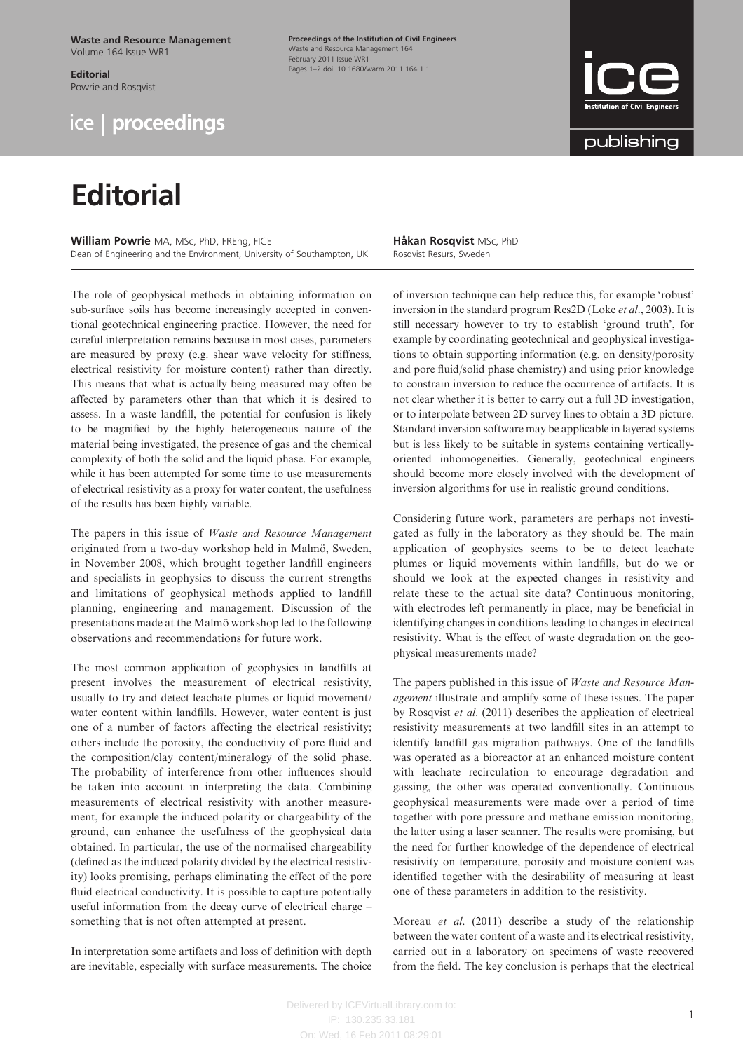Waste and Resource Management Volume 164 Issue WR1

Editorial Powrie and Rosqvist



## **Editorial**

William Powrie MA, MSc, PhD, FREng, FICE Dean of Engineering and the Environment, University of Southampton, UK

The role of geophysical methods in obtaining information on sub-surface soils has become increasingly accepted in conventional geotechnical engineering practice. However, the need for careful interpretation remains because in most cases, parameters are measured by proxy (e.g. shear wave velocity for stiffness, electrical resistivity for moisture content) rather than directly. This means that what is actually being measured may often be affected by parameters other than that which it is desired to assess. In a waste landfill, the potential for confusion is likely to be magnified by the highly heterogeneous nature of the material being investigated, the presence of gas and the chemical complexity of both the solid and the liquid phase. For example, while it has been attempted for some time to use measurements of electrical resistivity as a proxy for water content, the usefulness of the results has been highly variable.

The papers in this issue of Waste and Resource Management originated from a two-day workshop held in Malmö, Sweden, in November 2008, which brought together landfill engineers and specialists in geophysics to discuss the current strengths and limitations of geophysical methods applied to landfill planning, engineering and management. Discussion of the presentations made at the Malmö workshop led to the following observations and recommendations for future work.

The most common application of geophysics in landfills at present involves the measurement of electrical resistivity, usually to try and detect leachate plumes or liquid movement/ water content within landfills. However, water content is just one of a number of factors affecting the electrical resistivity; others include the porosity, the conductivity of pore fluid and the composition/clay content/mineralogy of the solid phase. The probability of interference from other influences should be taken into account in interpreting the data. Combining measurements of electrical resistivity with another measurement, for example the induced polarity or chargeability of the ground, can enhance the usefulness of the geophysical data obtained. In particular, the use of the normalised chargeability (defined as the induced polarity divided by the electrical resistivity) looks promising, perhaps eliminating the effect of the pore fluid electrical conductivity. It is possible to capture potentially useful information from the decay curve of electrical charge – something that is not often attempted at present.

In interpretation some artifacts and loss of definition with depth are inevitable, especially with surface measurements. The choice

Proceedings of the Institution of Civil Engineers Waste and Resource Management 164 February 2011 Issue WR1 Pages 1–2 doi: 10.1680/warm.2011.164.1.1

> Håkan Rosqvist MSc, PhD Rosqvist Resurs, Sweden

of inversion technique can help reduce this, for example 'robust' inversion in the standard program Res2D (Loke et al., 2003). It is still necessary however to try to establish 'ground truth', for example by coordinating geotechnical and geophysical investigations to obtain supporting information (e.g. on density/porosity and pore fluid/solid phase chemistry) and using prior knowledge to constrain inversion to reduce the occurrence of artifacts. It is not clear whether it is better to carry out a full 3D investigation, or to interpolate between 2D survey lines to obtain a 3D picture. Standard inversion software may be applicable in layered systems but is less likely to be suitable in systems containing verticallyoriented inhomogeneities. Generally, geotechnical engineers should become more closely involved with the development of inversion algorithms for use in realistic ground conditions.

Considering future work, parameters are perhaps not investigated as fully in the laboratory as they should be. The main application of geophysics seems to be to detect leachate plumes or liquid movements within landfills, but do we or should we look at the expected changes in resistivity and relate these to the actual site data? Continuous monitoring, with electrodes left permanently in place, may be beneficial in identifying changes in conditions leading to changes in electrical resistivity. What is the effect of waste degradation on the geophysical measurements made?

The papers published in this issue of *Waste and Resource Man*agement illustrate and amplify some of these issues. The paper by Rosqvist et al. (2011) describes the application of electrical resistivity measurements at two landfill sites in an attempt to identify landfill gas migration pathways. One of the landfills was operated as a bioreactor at an enhanced moisture content with leachate recirculation to encourage degradation and gassing, the other was operated conventionally. Continuous geophysical measurements were made over a period of time together with pore pressure and methane emission monitoring, the latter using a laser scanner. The results were promising, but the need for further knowledge of the dependence of electrical resistivity on temperature, porosity and moisture content was identified together with the desirability of measuring at least one of these parameters in addition to the resistivity.

Moreau et al. (2011) describe a study of the relationship between the water content of a waste and its electrical resistivity, carried out in a laboratory on specimens of waste recovered from the field. The key conclusion is perhaps that the electrical

IP: 130.235.33.181 On: Wed, 16 Feb 2011 08:29:01



publishing